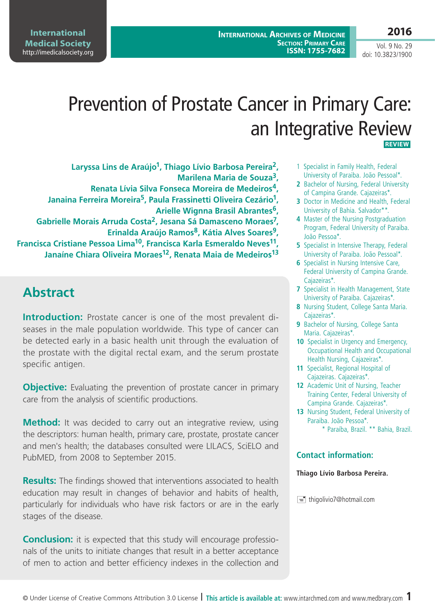**2016**

Vol. 9 No. 29 doi: 10.3823/1900

# Prevention of Prostate Cancer in Primary Care: an Integrative Review  **Review**

- **Laryssa Lins de Araújo1, Thiago Lívio Barbosa Pereira2, Marilena Maria de Souza3,**
- **Renata Lívia Silva Fonseca Moreira de Medeiros4, Janaina Ferreira Moreira5, Paula Frassinetti Oliveira Cezário1, Arielle Wignna Brasil Abrantes6,**
- **Gabrielle Morais Arruda Costa2, Jesana Sá Damasceno Moraes7, Erinalda Araújo Ramos8, Kátia Alves Soares9,**

**Francisca Cristiane Pessoa Lima10, Francisca Karla Esmeraldo Neves11, Janaíne Chiara Oliveira Moraes12, Renata Maia de Medeiros13**

# **Abstract**

**Introduction:** Prostate cancer is one of the most prevalent diseases in the male population worldwide. This type of cancer can be detected early in a basic health unit through the evaluation of the prostate with the digital rectal exam, and the serum prostate specific antigen.

**Objective:** Evaluating the prevention of prostate cancer in primary care from the analysis of scientific productions.

**Method:** It was decided to carry out an integrative review, using the descriptors: human health, primary care, prostate, prostate cancer and men's health; the databases consulted were LILACS, SciELO and PubMED, from 2008 to September 2015.

**Results:** The findings showed that interventions associated to health education may result in changes of behavior and habits of health, particularly for individuals who have risk factors or are in the early stages of the disease.

**Conclusion:** it is expected that this study will encourage professionals of the units to initiate changes that result in a better acceptance of men to action and better efficiency indexes in the collection and

- 1 Specialist in Family Health, Federal University of Paraiba. João Pessoal\*.
- **2** Bachelor of Nursing, Federal University of Campina Grande. Cajazeiras\*.
- **3** Doctor in Medicine and Health, Federal University of Bahia. Salvador\*\*.
- **4** Master of the Nursing Postgraduation Program, Federal University of Paraiba. João Pessoa\*.
- **5** Specialist in Intensive Therapy, Federal University of Paraiba. João Pessoal\*.
- **6** Specialist in Nursing Intensive Care, Federal University of Campina Grande. Cajazeiras\*.
- **7** Specialist in Health Management, State University of Paraiba. Cajazeiras\*.
- **8** Nursing Student, College Santa Maria. Cajazeiras\*.
- **9** Bachelor of Nursing, College Santa Maria. Cajazeiras\*.
- **10** Specialist in Urgency and Emergency, Occupational Health and Occupational Health Nursing, Cajazeiras\*.
- **11** Specialist, Regional Hospital of Cajazeiras. Cajazeiras\*.
- **12** Academic Unit of Nursing, Teacher Training Center, Federal University of Campina Grande. Cajazeiras\*.
- 13 Nursing Student, Federal University of Paraiba. João Pessoa\*. \* Paraíba, Brazil. \*\* Bahia, Brazil.

#### **Contact information:**

#### **Thiago Lívio Barbosa Pereira.**

 $\equiv$  thigolivio7@hotmail.com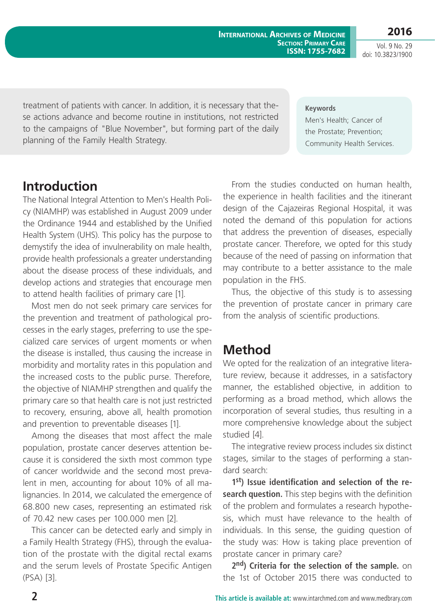**2016**

Vol. 9 No. 29 doi: 10.3823/1900

treatment of patients with cancer. In addition, it is necessary that these actions advance and become routine in institutions, not restricted to the campaigns of "Blue November", but forming part of the daily planning of the Family Health Strategy.

#### **Keywords**

Men's Health; Cancer of the Prostate; Prevention; Community Health Services.

### **Introduction**

The National Integral Attention to Men's Health Policy (NIAMHP) was established in August 2009 under the Ordinance 1944 and established by the Unified Health System (UHS). This policy has the purpose to demystify the idea of invulnerability on male health, provide health professionals a greater understanding about the disease process of these individuals, and develop actions and strategies that encourage men to attend health facilities of primary care [1].

Most men do not seek primary care services for the prevention and treatment of pathological processes in the early stages, preferring to use the specialized care services of urgent moments or when the disease is installed, thus causing the increase in morbidity and mortality rates in this population and the increased costs to the public purse. Therefore, the objective of NIAMHP strengthen and qualify the primary care so that health care is not just restricted to recovery, ensuring, above all, health promotion and prevention to preventable diseases [1].

Among the diseases that most affect the male population, prostate cancer deserves attention because it is considered the sixth most common type of cancer worldwide and the second most prevalent in men, accounting for about 10% of all malignancies. In 2014, we calculated the emergence of 68.800 new cases, representing an estimated risk of 70.42 new cases per 100.000 men [2].

This cancer can be detected early and simply in a Family Health Strategy (FHS), through the evaluation of the prostate with the digital rectal exams and the serum levels of Prostate Specific Antigen (PSA) [3].

From the studies conducted on human health, the experience in health facilities and the itinerant design of the Cajazeiras Regional Hospital, it was noted the demand of this population for actions that address the prevention of diseases, especially prostate cancer. Therefore, we opted for this study because of the need of passing on information that may contribute to a better assistance to the male population in the FHS.

Thus, the objective of this study is to assessing the prevention of prostate cancer in primary care from the analysis of scientific productions.

#### **Method**

We opted for the realization of an integrative literature review, because it addresses, in a satisfactory manner, the established objective, in addition to performing as a broad method, which allows the incorporation of several studies, thus resulting in a more comprehensive knowledge about the subject studied [4].

The integrative review process includes six distinct stages, similar to the stages of performing a standard search:

**1st) Issue identification and selection of the re**search question. This step begins with the definition of the problem and formulates a research hypothesis, which must have relevance to the health of individuals. In this sense, the guiding question of the study was: How is taking place prevention of prostate cancer in primary care?

**2nd) Criteria for the selection of the sample.** on the 1st of October 2015 there was conducted to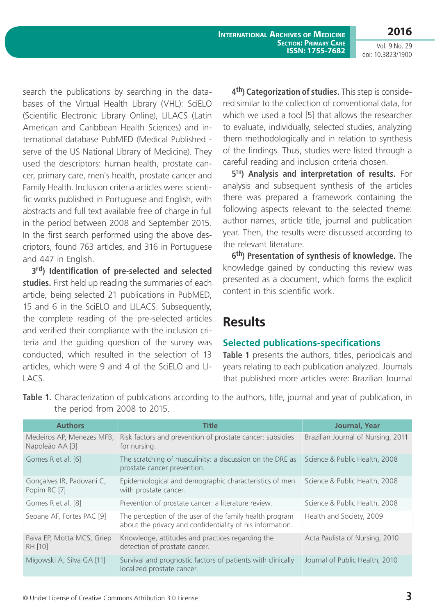**2016** Vol. 9 No. 29

doi: 10.3823/1900

search the publications by searching in the databases of the Virtual Health Library (VHL): SciELO (Scientific Electronic Library Online), LILACS (Latin American and Caribbean Health Sciences) and international database PubMED (Medical Published serve of the US National Library of Medicine). They used the descriptors: human health, prostate cancer, primary care, men's health, prostate cancer and Family Health. Inclusion criteria articles were: scientific works published in Portuguese and English, with abstracts and full text available free of charge in full in the period between 2008 and September 2015. In the first search performed using the above descriptors, found 763 articles, and 316 in Portuguese and 447 in English.

**3rd) Identification of pre-selected and selected**  studies. First held up reading the summaries of each article, being selected 21 publications in PubMED, 15 and 6 in the SciELO and LILACS. Subsequently, the complete reading of the pre-selected articles and verified their compliance with the inclusion criteria and the guiding question of the survey was conducted, which resulted in the selection of 13 articles, which were 9 and 4 of the SciELO and LI-LACS.

4<sup>th</sup>) Categorization of studies. This step is considered similar to the collection of conventional data, for which we used a tool [5] that allows the researcher to evaluate, individually, selected studies, analyzing them methodologically and in relation to synthesis of the findings. Thus, studies were listed through a careful reading and inclusion criteria chosen.

**5th) Analysis and interpretation of results.** for analysis and subsequent synthesis of the articles there was prepared a framework containing the following aspects relevant to the selected theme: author names, article title, journal and publication year. Then, the results were discussed according to the relevant literature.

6<sup>th</sup>) Presentation of synthesis of knowledge. The knowledge gained by conducting this review was presented as a document, which forms the explicit content in this scientific work.

# **Results**

#### **Selected publications-specifications**

**Table 1** presents the authors, titles, periodicals and years relating to each publication analyzed. Journals that published more articles were: Brazilian Journal

| <b>Authors</b>                               | Title                                                                                                                | Journal, Year                      |
|----------------------------------------------|----------------------------------------------------------------------------------------------------------------------|------------------------------------|
| Medeiros AP, Menezes MFB,<br>Napoleão AA [3] | Risk factors and prevention of prostate cancer: subsidies<br>for nursing.                                            | Brazilian Journal of Nursing, 2011 |
| Gomes R et al. [6]                           | The scratching of masculinity: a discussion on the DRE as<br>prostate cancer prevention.                             | Science & Public Health, 2008      |
| Gonçalves IR, Padovani C,<br>Popim RC [7]    | Epidemiological and demographic characteristics of men<br>with prostate cancer.                                      | Science & Public Health, 2008      |
| Gomes R et al. [8]                           | Prevention of prostate cancer: a literature review.                                                                  | Science & Public Health, 2008      |
| Seoane AF, Fortes PAC [9]                    | The perception of the user of the family health program<br>about the privacy and confidentiality of his information. | Health and Society, 2009           |
| Paiva EP, Motta MCS, Griep<br>RH [10]        | Knowledge, attitudes and practices regarding the<br>detection of prostate cancer.                                    | Acta Paulista of Nursing, 2010     |
| Migowski A, Silva GA [11]                    | Survival and prognostic factors of patients with clinically<br>localized prostate cancer.                            | Journal of Public Health, 2010     |

**Table 1.** Characterization of publications according to the authors, title, journal and year of publication, in the period from 2008 to 2015.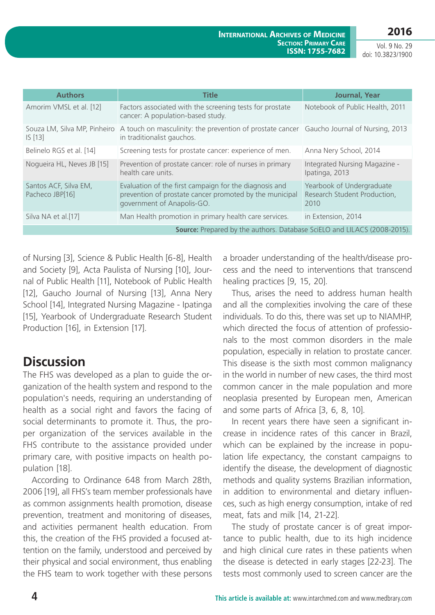Vol. 9 No. 29 doi: 10.3823/1900

| <b>Authors</b>                                                           | Title                                                                                                                                                | <b>Journal, Year</b>                                              |  |
|--------------------------------------------------------------------------|------------------------------------------------------------------------------------------------------------------------------------------------------|-------------------------------------------------------------------|--|
| Amorim VMSL et al. [12]                                                  | Factors associated with the screening tests for prostate<br>cancer: A population-based study.                                                        | Notebook of Public Health, 2011                                   |  |
| IS[13]                                                                   | Souza LM, Silva MP, Pinheiro A touch on masculinity: the prevention of prostate cancer Gaucho Journal of Nursing, 2013<br>in traditionalist gauchos. |                                                                   |  |
| Belinelo RGS et al. [14]                                                 | Screening tests for prostate cancer: experience of men.                                                                                              | Anna Nery School, 2014                                            |  |
| Noqueira HL, Neves JB [15]                                               | Prevention of prostate cancer: role of nurses in primary<br>health care units.                                                                       | Integrated Nursing Magazine -<br>Ipatinga, 2013                   |  |
| Santos ACF, Silva EM,<br>Pacheco JBP[16]                                 | Evaluation of the first campaign for the diagnosis and<br>prevention of prostate cancer promoted by the municipal<br>government of Anapolis-GO.      | Yearbook of Undergraduate<br>Research Student Production,<br>2010 |  |
| Silva NA et al.[17]                                                      | Man Health promotion in primary health care services.                                                                                                | in Extension, 2014                                                |  |
| Source: Prepared by the authors. Database SciELO and LILACS (2008-2015). |                                                                                                                                                      |                                                                   |  |

of Nursing [3], Science & Public Health [6-8], Health and Society [9], Acta Paulista of Nursing [10], Journal of Public Health [11], Notebook of Public Health [12], Gaucho Journal of Nursing [13], Anna Nery School [14], Integrated Nursing Magazine - Ipatinga [15], Yearbook of Undergraduate Research Student Production [16], in Extension [17].

# **Discussion**

The FHS was developed as a plan to guide the organization of the health system and respond to the population's needs, requiring an understanding of health as a social right and favors the facing of social determinants to promote it. Thus, the proper organization of the services available in the FHS contribute to the assistance provided under primary care, with positive impacts on health population [18].

According to Ordinance 648 from March 28th, 2006 [19], all FHS's team member professionals have as common assignments health promotion, disease prevention, treatment and monitoring of diseases, and activities permanent health education. From this, the creation of the FHS provided a focused attention on the family, understood and perceived by their physical and social environment, thus enabling the FHS team to work together with these persons a broader understanding of the health/disease process and the need to interventions that transcend healing practices [9, 15, 20].

Thus, arises the need to address human health and all the complexities involving the care of these individuals. To do this, there was set up to NIAMHP, which directed the focus of attention of professionals to the most common disorders in the male population, especially in relation to prostate cancer. This disease is the sixth most common malignancy in the world in number of new cases, the third most common cancer in the male population and more neoplasia presented by European men, American and some parts of Africa [3, 6, 8, 10].

In recent years there have seen a significant increase in incidence rates of this cancer in Brazil, which can be explained by the increase in population life expectancy, the constant campaigns to identify the disease, the development of diagnostic methods and quality systems Brazilian information, in addition to environmental and dietary influences, such as high energy consumption, intake of red meat, fats and milk [14, 21-22].

The study of prostate cancer is of great importance to public health, due to its high incidence and high clinical cure rates in these patients when the disease is detected in early stages [22-23]. The tests most commonly used to screen cancer are the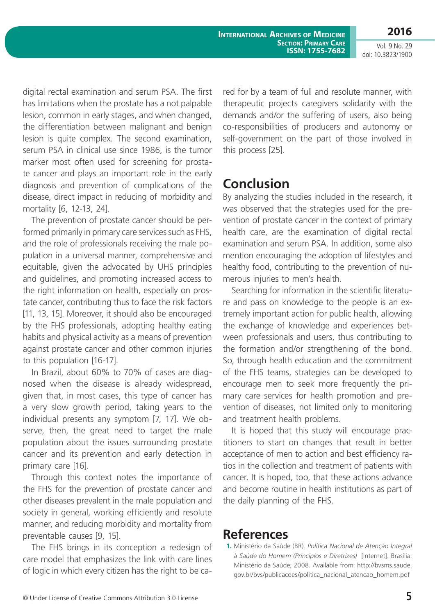**2016** Vol. 9 No. 29

doi: 10.3823/1900

digital rectal examination and serum PSA. The first has limitations when the prostate has a not palpable lesion, common in early stages, and when changed, the differentiation between malignant and benign lesion is quite complex. The second examination, serum PSA in clinical use since 1986, is the tumor marker most often used for screening for prostate cancer and plays an important role in the early diagnosis and prevention of complications of the disease, direct impact in reducing of morbidity and mortality [6, 12-13, 24].

The prevention of prostate cancer should be performed primarily in primary care services such as FHS, and the role of professionals receiving the male population in a universal manner, comprehensive and equitable, given the advocated by UHS principles and guidelines, and promoting increased access to the right information on health, especially on prostate cancer, contributing thus to face the risk factors [11, 13, 15]. Moreover, it should also be encouraged by the FHS professionals, adopting healthy eating habits and physical activity as a means of prevention against prostate cancer and other common injuries to this population [16-17].

In Brazil, about 60% to 70% of cases are diagnosed when the disease is already widespread, given that, in most cases, this type of cancer has a very slow growth period, taking years to the individual presents any symptom [7, 17]. We observe, then, the great need to target the male population about the issues surrounding prostate cancer and its prevention and early detection in primary care [16].

Through this context notes the importance of the FHS for the prevention of prostate cancer and other diseases prevalent in the male population and society in general, working efficiently and resolute manner, and reducing morbidity and mortality from preventable causes [9, 15].

The FHS brings in its conception a redesign of care model that emphasizes the link with care lines of logic in which every citizen has the right to be cared for by a team of full and resolute manner, with therapeutic projects caregivers solidarity with the demands and/or the suffering of users, also being co-responsibilities of producers and autonomy or self-government on the part of those involved in this process [25].

## **Conclusion**

By analyzing the studies included in the research, it was observed that the strategies used for the prevention of prostate cancer in the context of primary health care, are the examination of digital rectal examination and serum PSA. In addition, some also mention encouraging the adoption of lifestyles and healthy food, contributing to the prevention of numerous injuries to men's health.

Searching for information in the scientific literature and pass on knowledge to the people is an extremely important action for public health, allowing the exchange of knowledge and experiences between professionals and users, thus contributing to the formation and/or strengthening of the bond. So, through health education and the commitment of the FHS teams, strategies can be developed to encourage men to seek more frequently the primary care services for health promotion and prevention of diseases, not limited only to monitoring and treatment health problems.

It is hoped that this study will encourage practitioners to start on changes that result in better acceptance of men to action and best efficiency ratios in the collection and treatment of patients with cancer. It is hoped, too, that these actions advance and become routine in health institutions as part of the daily planning of the FHS.

# **References**

**1.** Ministério da Saúde (BR). *Política Nacional de Atenção Integral à Saúde do Homem (Princípios e Diretrizes)* [Internet]. Brasília: Ministério da Saúde; 2008. Available from: [http://bvsms.saude.](http://bvsms.saude.gov.br/bvs/publicacoes/politica_nacional_atencao_homem.pdf) [gov.br/bvs/publicacoes/politica\\_nacional\\_atencao\\_homem.pdf](http://bvsms.saude.gov.br/bvs/publicacoes/politica_nacional_atencao_homem.pdf)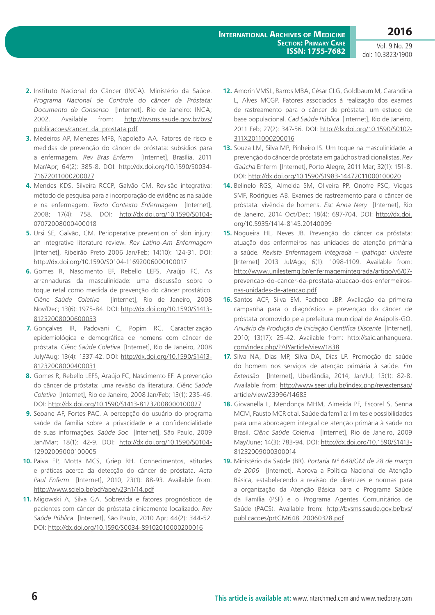Vol. 9 No. 29 doi: 10.3823/1900

- **2.** Instituto Nacional do Câncer (INCA). Ministério da Saúde. *Programa Nacional de Controle do câncer da Próstata: Documento de Consenso* [Internet]. Rio de Janeiro: INCA; 2002. Available from: [http://bvsms.saude.gov.br/bvs/](http://bvsms.saude.gov.br/bvs/publicacoes/cancer_da_prostata.pdf) [publicacoes/cancer\\_da\\_prostata.pdf](http://bvsms.saude.gov.br/bvs/publicacoes/cancer_da_prostata.pdf)
- **3.** Medeiros AP, Menezes MFB, Napoleão AA. Fatores de risco e medidas de prevenção do câncer de próstata: subsídios para a enfermagem. *Rev Bras Enferm* [Internet], Brasília, 2011 Mar/Apr; 64(2): 385-8. DOI: [http://dx.doi.org/10.1590/S0034-](http://dx.doi.org/10.1590/S0034-71672011000200027) [71672011000200027](http://dx.doi.org/10.1590/S0034-71672011000200027)
- **4.** Mendes KDS, Silveira RCCP, Galvão CM. Revisão integrativa: método de pesquisa para a incorporação de evidências na saúde e na enfermagem. *Texto Contexto Enfermagem* [Internet], 2008; 17(4): 758. DOI: [http://dx.doi.org/10.1590/S0104-](http://dx.doi.org/10.1590/S0104-07072008000400018) [07072008000400018](http://dx.doi.org/10.1590/S0104-07072008000400018)
- **5.** Ursi SE, Galvão, CM. Perioperative prevention of skin injury: an integrative literature review. *Rev Latino-Am Enfermagem* [Internet], Ribeirão Preto 2006 Jan/Feb; 14(10): 124-31. DOI: <http://dx.doi.org/10.1590/S0104-11692006000100017>
- **6.** Gomes R, Nascimento EF, Rebello LEFS, Araújo FC. As arranhaduras da masculinidade: uma discussão sobre o toque retal como medida de prevenção do câncer prostático. *Ciênc Saúde Coletiva* [Internet], Rio de Janeiro, 2008 Nov/Dec; 13(6): 1975-84. DOI: [http://dx.doi.org/10.1590/S1413-](http://dx.doi.org/10.1590/S1413-81232008000600033) [81232008000600033](http://dx.doi.org/10.1590/S1413-81232008000600033)
- **7.** Gonçalves IR, Padovani C, Popim RC. Caracterização epidemiológica e demográfica de homens com câncer de próstata. *Ciênc Saúde Coletiva* [Internet], Rio de Janeiro, 2008 July/Aug; 13(4): 1337-42. DOI: [http://dx.doi.org/10.1590/S1413-](http://dx.doi.org/10.1590/S1413-81232008000400031) [81232008000400031](http://dx.doi.org/10.1590/S1413-81232008000400031)
- **8.** Gomes R, Rebello LEFS, Araújo FC, Nascimento EF. A prevenção do câncer de próstata: uma revisão da literatura. *Ciênc Saúde Coletiva* [Internet], Rio de Janeiro, 2008 Jan/Feb; 13(1): 235-46. DOI: <http://dx.doi.org/10.1590/S1413-81232008000100027>
- **9.** Seoane AF, Fortes PAC. A percepção do usuário do programa saúde da família sobre a privacidade e a confidencialidade de suas informações. *Saúde Soc* [Internet], São Paulo, 2009 Jan/Mar; 18(1): 42-9. DOI: [http://dx.doi.org/10.1590/S0104-](http://dx.doi.org/10.1590/S0104-12902009000100005) [12902009000100005](http://dx.doi.org/10.1590/S0104-12902009000100005)
- **10.** Paiva EP, Motta MCS, Griep RH. Conhecimentos, atitudes e práticas acerca da detecção do câncer de próstata. *Acta Paul Enferm* [Internet], 2010; 23(1): 88-93. Available from: <http://www.scielo.br/pdf/ape/v23n1/14.pdf>
- **11.** Migowski A, Silva GA. Sobrevida e fatores prognósticos de pacientes com câncer de próstata clinicamente localizado. *Rev Saúde Pública* [Internet], São Paulo, 2010 Apr; 44(2): 344-52. DOI: <http://dx.doi.org/10.1590/S0034-89102010000200016>
- **12.** Amorin VMSL, Barros MBA, César CLG, Goldbaum M, Carandina L, Alves MCGP. Fatores associados à realização dos exames de rastreamento para o câncer de próstata: um estudo de base populacional. *Cad Saúde Pública* [Internet], Rio de Janeiro, 2011 Feb; 27(2): 347-56. DOI: http://dx.doi.org/10.1590/S0102- 311X2011000200016
- **13.** Souza LM, Silva MP, Pinheiro IS. Um toque na masculinidade: a prevenção do câncer de próstata em gaúchos tradicionalistas. *Rev Gaúcha* Enferm [Internet], Porto Alegre, 2011 Mar; 32(1): 151-8. DOI: <http://dx.doi.org/10.1590/S1983-14472011000100020>
- **14.** Belinelo RGS, Almeida SM, Oliveira PP, Onofre PSC, Viegas SMF, Rodrigues AB. Exames de rastreamento para o câncer de próstata: vivência de homens. *Esc Anna Nery* [Internet], Rio de Janeiro, 2014 Oct/Dec; 18(4): 697-704. DOI: [http://dx.doi.](http://dx.doi.org/10.5935/1414-8145.20140099) [org/10.5935/1414-8145.20140099](http://dx.doi.org/10.5935/1414-8145.20140099)
- **15.** Nogueira HL, Neves JB. Prevenção do câncer da próstata: atuação dos enfermeiros nas unidades de atenção primária a saúde. *Revista Enfermagem Integrada – Ipatinga: Unileste* [Internet] 2013 Jul/Ago; 6(1): 1098-1109. Available from: [http://www.unilestemg.br/enfermagemintegrada/artigo/v6/07](http://www.unilestemg.br/enfermagemintegrada/artigo/v6/07-prevencao-do-cancer-da-prostata-atuacao-dos-enfermeiros-nas-unidades-de-atencao.pdf) [prevencao-do-cancer-da-prostata-atuacao-dos-enfermeiros](http://www.unilestemg.br/enfermagemintegrada/artigo/v6/07-prevencao-do-cancer-da-prostata-atuacao-dos-enfermeiros-nas-unidades-de-atencao.pdf)[nas-unidades-de-atencao.pdf](http://www.unilestemg.br/enfermagemintegrada/artigo/v6/07-prevencao-do-cancer-da-prostata-atuacao-dos-enfermeiros-nas-unidades-de-atencao.pdf)
- **16.** Santos ACF, Silva EM, Pacheco JBP. Avaliação da primeira campanha para o diagnóstico e prevenção do câncer de próstata promovido pela prefeitura municipal de Anápolis-GO. *Anuário da Produção de Iniciação Científica Discente* [Internet], 2010; 13(17): 25-42. Available from: [http://saic.anhanguera.](http://saic.anhanguera.com/index.php/PAP/article/view/1838) [com/index.php/PAP/article/view/1838](http://saic.anhanguera.com/index.php/PAP/article/view/1838)
- **17.** Silva NA, Dias MP, Silva DA, Dias LP. Promoção da saúde do homem nos serviços de atenção primária à saúde. *Em Extensão* [Internet], Uberlândia, 2014; Jan/Jul; 13(1): 82-8. Available from: [http://www.seer.ufu.br/index.php/revextensao/](http://www.seer.ufu.br/index.php/revextensao/article/view/23996/14683) [article/view/23996/14683](http://www.seer.ufu.br/index.php/revextensao/article/view/23996/14683)
- **18.** Giovanella L, Mendonça MHM, Almeida PF, Escorel S, Senna MCM, Fausto MCR et al. Saúde da família: limites e possibilidades para uma abordagem integral de atenção primária à saúde no Brasil. *Ciênc Saúde Coletiva* [Internet], Rio de Janeiro, 2009 May/June; 14(3): 783-94. DOI: [http://dx.doi.org/10.1590/S1413-](http://dx.doi.org/10.1590/S1413-81232009000300014) [81232009000300014](http://dx.doi.org/10.1590/S1413-81232009000300014)
- **19.** Ministério da Saúde (BR). *Portaria Nº 648/GM de 28 de março de 2006* [Internet]. Aprova a Política Nacional de Atenção Básica, estabelecendo a revisão de diretrizes e normas para a organização da Atenção Básica para o Programa Saúde da Família (PSF) e o Programa Agentes Comunitários de Saúde (PACS). Available from: [http://bvsms.saude.gov.br/bvs/](http://bvsms.saude.gov.br/bvs/publicacoes/prtGM648_20060328.pdf) [publicacoes/prtGM648\\_20060328.pdf](http://bvsms.saude.gov.br/bvs/publicacoes/prtGM648_20060328.pdf)